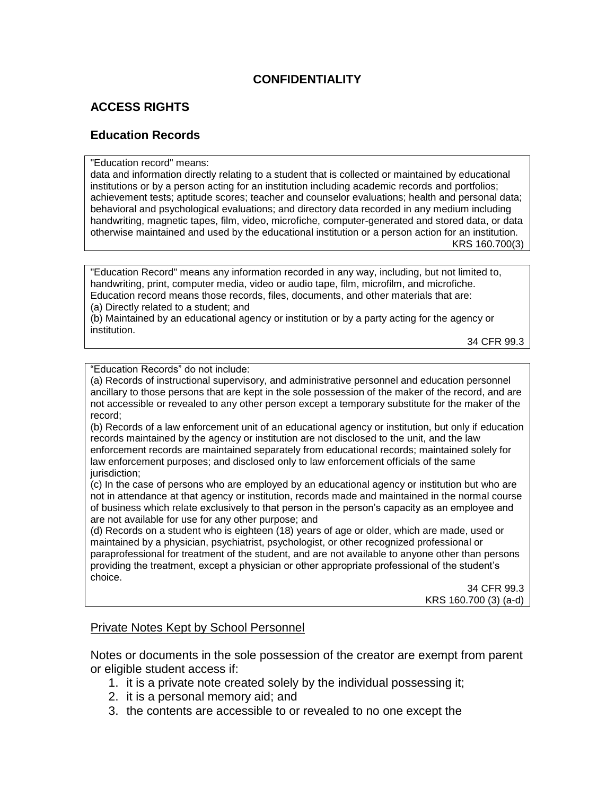## **CONFIDENTIALITY**

## **ACCESS RIGHTS**

#### **Education Records**

"Education record" means:

data and information directly relating to a student that is collected or maintained by educational institutions or by a person acting for an institution including academic records and portfolios; achievement tests; aptitude scores; teacher and counselor evaluations; health and personal data; behavioral and psychological evaluations; and directory data recorded in any medium including handwriting, magnetic tapes, film, video, microfiche, computer-generated and stored data, or data otherwise maintained and used by the educational institution or a person action for an institution. KRS 160.700(3)

"Education Record" means any information recorded in any way, including, but not limited to, handwriting, print, computer media, video or audio tape, film, microfilm, and microfiche. Education record means those records, files, documents, and other materials that are:

(a) Directly related to a student; and

(b) Maintained by an educational agency or institution or by a party acting for the agency or institution.

34 CFR 99.3

"Education Records" do not include:

(a) Records of instructional supervisory, and administrative personnel and education personnel ancillary to those persons that are kept in the sole possession of the maker of the record, and are not accessible or revealed to any other person except a temporary substitute for the maker of the record;

(b) Records of a law enforcement unit of an educational agency or institution, but only if education records maintained by the agency or institution are not disclosed to the unit, and the law enforcement records are maintained separately from educational records; maintained solely for law enforcement purposes; and disclosed only to law enforcement officials of the same jurisdiction:

(c) In the case of persons who are employed by an educational agency or institution but who are not in attendance at that agency or institution, records made and maintained in the normal course of business which relate exclusively to that person in the person's capacity as an employee and are not available for use for any other purpose; and

(d) Records on a student who is eighteen (18) years of age or older, which are made, used or maintained by a physician, psychiatrist, psychologist, or other recognized professional or paraprofessional for treatment of the student, and are not available to anyone other than persons providing the treatment, except a physician or other appropriate professional of the student's choice.

> 34 CFR 99.3 KRS 160.700 (3) (a-d)

#### Private Notes Kept by School Personnel

Notes or documents in the sole possession of the creator are exempt from parent or eligible student access if:

- 1. it is a private note created solely by the individual possessing it;
- 2. it is a personal memory aid; and
- 3. the contents are accessible to or revealed to no one except the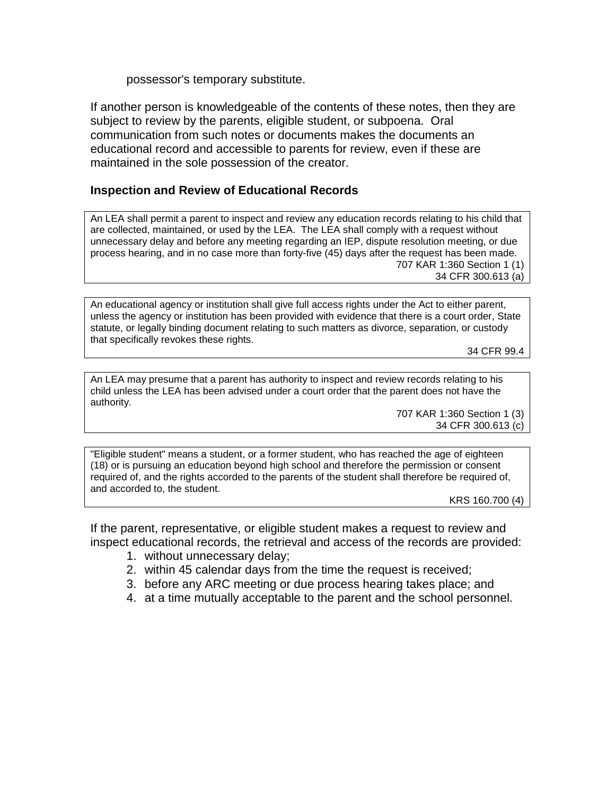possessor's temporary substitute.

If another person is knowledgeable of the contents of these notes, then they are subject to review by the parents, eligible student, or subpoena. Oral communication from such notes or documents makes the documents an educational record and accessible to parents for review, even if these are maintained in the sole possession of the creator.

#### **Inspection and Review of Educational Records**

An LEA shall permit a parent to inspect and review any education records relating to his child that are collected, maintained, or used by the LEA. The LEA shall comply with a request without unnecessary delay and before any meeting regarding an IEP, dispute resolution meeting, or due process hearing, and in no case more than forty-five (45) days after the request has been made. 707 KAR 1:360 Section 1 (1) 34 CFR 300.613 (a)

An educational agency or institution shall give full access rights under the Act to either parent, unless the agency or institution has been provided with evidence that there is a court order, State statute, or legally binding document relating to such matters as divorce, separation, or custody that specifically revokes these rights.

34 CFR 99.4

An LEA may presume that a parent has authority to inspect and review records relating to his child unless the LEA has been advised under a court order that the parent does not have the authority.

> 707 KAR 1:360 Section 1 (3) 34 CFR 300.613 (c)

"Eligible student" means a student, or a former student, who has reached the age of eighteen (18) or is pursuing an education beyond high school and therefore the permission or consent required of, and the rights accorded to the parents of the student shall therefore be required of, and accorded to, the student.

KRS 160.700 (4)

If the parent, representative, or eligible student makes a request to review and inspect educational records, the retrieval and access of the records are provided:

- 1. without unnecessary delay;
- 2. within 45 calendar days from the time the request is received;
- 3. before any ARC meeting or due process hearing takes place; and
- 4. at a time mutually acceptable to the parent and the school personnel.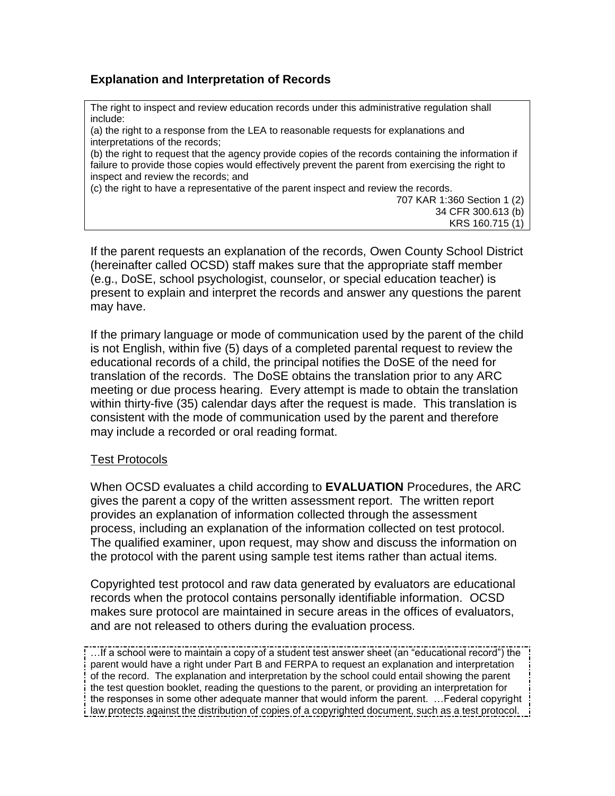## **Explanation and Interpretation of Records**

The right to inspect and review education records under this administrative regulation shall include:

(a) the right to a response from the LEA to reasonable requests for explanations and interpretations of the records;

(b) the right to request that the agency provide copies of the records containing the information if failure to provide those copies would effectively prevent the parent from exercising the right to inspect and review the records; and

(c) the right to have a representative of the parent inspect and review the records.

707 KAR 1:360 Section 1 (2) 34 CFR 300.613 (b) KRS 160.715 (1)

If the parent requests an explanation of the records, Owen County School District (hereinafter called OCSD) staff makes sure that the appropriate staff member (e.g., DoSE, school psychologist, counselor, or special education teacher) is present to explain and interpret the records and answer any questions the parent may have.

If the primary language or mode of communication used by the parent of the child is not English, within five (5) days of a completed parental request to review the educational records of a child, the principal notifies the DoSE of the need for translation of the records. The DoSE obtains the translation prior to any ARC meeting or due process hearing. Every attempt is made to obtain the translation within thirty-five (35) calendar days after the request is made. This translation is consistent with the mode of communication used by the parent and therefore may include a recorded or oral reading format.

#### Test Protocols

When OCSD evaluates a child according to **EVALUATION** Procedures, the ARC gives the parent a copy of the written assessment report. The written report provides an explanation of information collected through the assessment process, including an explanation of the information collected on test protocol. The qualified examiner, upon request, may show and discuss the information on the protocol with the parent using sample test items rather than actual items.

Copyrighted test protocol and raw data generated by evaluators are educational records when the protocol contains personally identifiable information. OCSD makes sure protocol are maintained in secure areas in the offices of evaluators, and are not released to others during the evaluation process.

…If a school were to maintain a copy of a student test answer sheet (an "educational record") the parent would have a right under Part B and FERPA to request an explanation and interpretation of the record. The explanation and interpretation by the school could entail showing the parent the test question booklet, reading the questions to the parent, or providing an interpretation for the responses in some other adequate manner that would inform the parent. …Federal copyright law protects against the distribution of copies of a copyrighted document, such as a test protocol.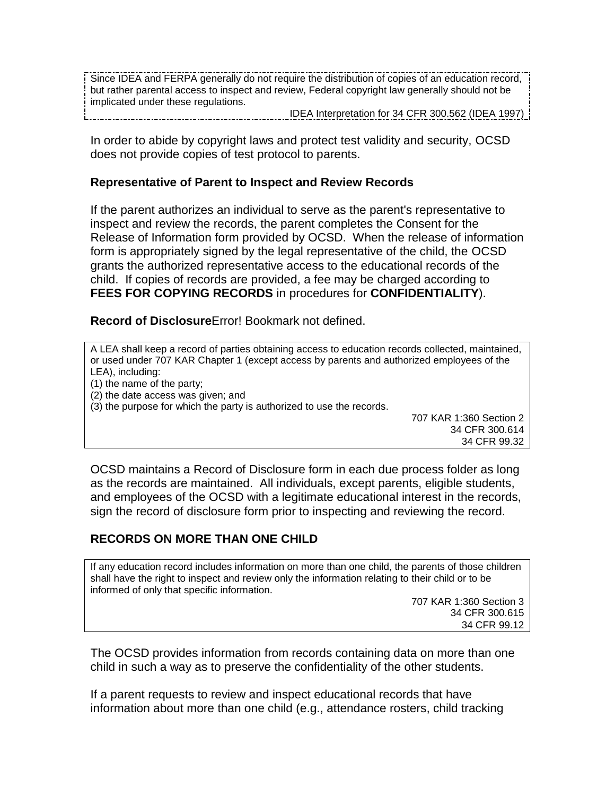Since IDEA and FERPA generally do not require the distribution of copies of an education record, but rather parental access to inspect and review, Federal copyright law generally should not be implicated under these regulations.

IDEA Interpretation for 34 CFR 300.562 (IDEA 1997) ------------------------------------

In order to abide by copyright laws and protect test validity and security, OCSD does not provide copies of test protocol to parents.

#### **Representative of Parent to Inspect and Review Records**

If the parent authorizes an individual to serve as the parent's representative to inspect and review the records, the parent completes the Consent for the Release of Information form provided by OCSD. When the release of information form is appropriately signed by the legal representative of the child, the OCSD grants the authorized representative access to the educational records of the child. If copies of records are provided, a fee may be charged according to **FEES FOR COPYING RECORDS** in procedures for **CONFIDENTIALITY**).

**Record of Disclosure**Error! Bookmark not defined.

A LEA shall keep a record of parties obtaining access to education records collected, maintained, or used under 707 KAR Chapter 1 (except access by parents and authorized employees of the LEA), including:

- (1) the name of the party;
- (2) the date access was given; and
- (3) the purpose for which the party is authorized to use the records.

707 KAR 1:360 Section 2 34 CFR 300.614 34 CFR 99.32

OCSD maintains a Record of Disclosure form in each due process folder as long as the records are maintained. All individuals, except parents, eligible students, and employees of the OCSD with a legitimate educational interest in the records, sign the record of disclosure form prior to inspecting and reviewing the record.

## **RECORDS ON MORE THAN ONE CHILD**

If any education record includes information on more than one child, the parents of those children shall have the right to inspect and review only the information relating to their child or to be informed of only that specific information.

> 707 KAR 1:360 Section 3 34 CFR 300.615 34 CFR 99.12

The OCSD provides information from records containing data on more than one child in such a way as to preserve the confidentiality of the other students.

If a parent requests to review and inspect educational records that have information about more than one child (e.g., attendance rosters, child tracking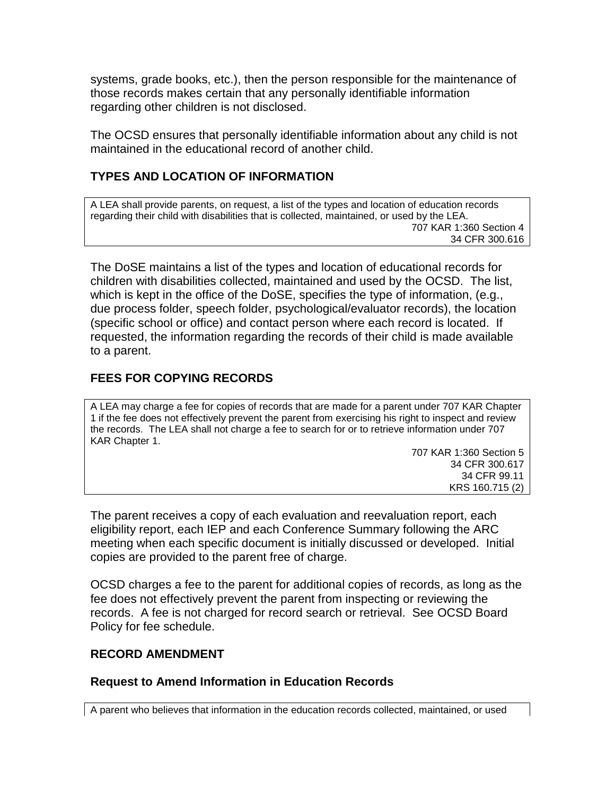systems, grade books, etc.), then the person responsible for the maintenance of those records makes certain that any personally identifiable information regarding other children is not disclosed.

The OCSD ensures that personally identifiable information about any child is not maintained in the educational record of another child.

### **TYPES AND LOCATION OF INFORMATION**

A LEA shall provide parents, on request, a list of the types and location of education records regarding their child with disabilities that is collected, maintained, or used by the LEA. 707 KAR 1:360 Section 4 34 CFR 300.616

The DoSE maintains a list of the types and location of educational records for children with disabilities collected, maintained and used by the OCSD. The list, which is kept in the office of the DoSE, specifies the type of information, (e.g., due process folder, speech folder, psychological/evaluator records), the location (specific school or office) and contact person where each record is located. If requested, the information regarding the records of their child is made available to a parent.

### **FEES FOR COPYING RECORDS**

A LEA may charge a fee for copies of records that are made for a parent under 707 KAR Chapter 1 if the fee does not effectively prevent the parent from exercising his right to inspect and review the records. The LEA shall not charge a fee to search for or to retrieve information under 707 KAR Chapter 1.

> 707 KAR 1:360 Section 5 34 CFR 300.617 34 CFR 99.11 KRS 160.715 (2)

The parent receives a copy of each evaluation and reevaluation report, each eligibility report, each IEP and each Conference Summary following the ARC meeting when each specific document is initially discussed or developed. Initial copies are provided to the parent free of charge.

OCSD charges a fee to the parent for additional copies of records, as long as the fee does not effectively prevent the parent from inspecting or reviewing the records. A fee is not charged for record search or retrieval. See OCSD Board Policy for fee schedule.

#### **RECORD AMENDMENT**

#### **Request to Amend Information in Education Records**

A parent who believes that information in the education records collected, maintained, or used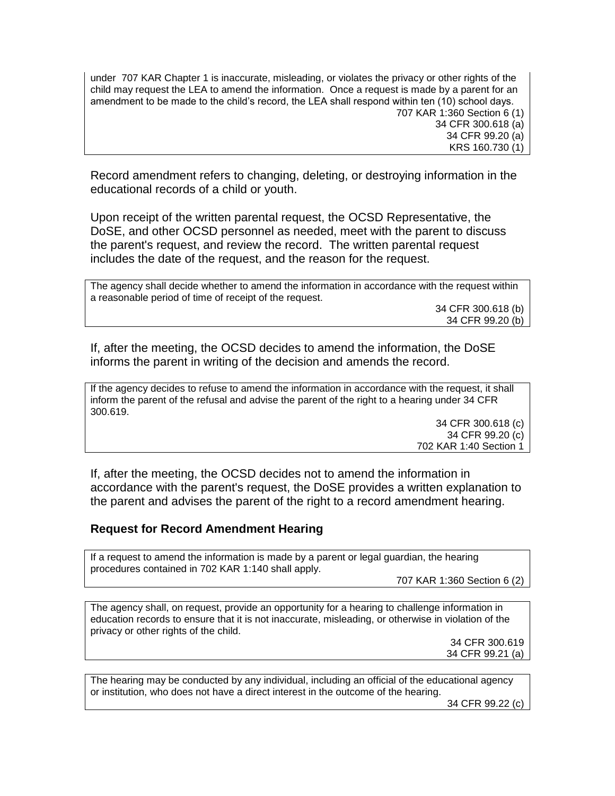under 707 KAR Chapter 1 is inaccurate, misleading, or violates the privacy or other rights of the child may request the LEA to amend the information. Once a request is made by a parent for an amendment to be made to the child's record, the LEA shall respond within ten (10) school days. 707 KAR 1:360 Section 6 (1) 34 CFR 300.618 (a) 34 CFR 99.20 (a) KRS 160.730 (1)

Record amendment refers to changing, deleting, or destroying information in the educational records of a child or youth.

Upon receipt of the written parental request, the OCSD Representative, the DoSE, and other OCSD personnel as needed, meet with the parent to discuss the parent's request, and review the record. The written parental request includes the date of the request, and the reason for the request.

The agency shall decide whether to amend the information in accordance with the request within a reasonable period of time of receipt of the request. 34 CFR 300.618 (b) 34 CFR 99.20 (b)

If, after the meeting, the OCSD decides to amend the information, the DoSE informs the parent in writing of the decision and amends the record.

If the agency decides to refuse to amend the information in accordance with the request, it shall inform the parent of the refusal and advise the parent of the right to a hearing under 34 CFR 300.619.

34 CFR 300.618 (c) 34 CFR 99.20 (c) 702 KAR 1:40 Section 1

If, after the meeting, the OCSD decides not to amend the information in accordance with the parent's request, the DoSE provides a written explanation to the parent and advises the parent of the right to a record amendment hearing.

#### **Request for Record Amendment Hearing**

If a request to amend the information is made by a parent or legal guardian, the hearing procedures contained in 702 KAR 1:140 shall apply.

707 KAR 1:360 Section 6 (2)

The agency shall, on request, provide an opportunity for a hearing to challenge information in education records to ensure that it is not inaccurate, misleading, or otherwise in violation of the privacy or other rights of the child.

> 34 CFR 300.619 34 CFR 99.21 (a)

The hearing may be conducted by any individual, including an official of the educational agency or institution, who does not have a direct interest in the outcome of the hearing.

34 CFR 99.22 (c)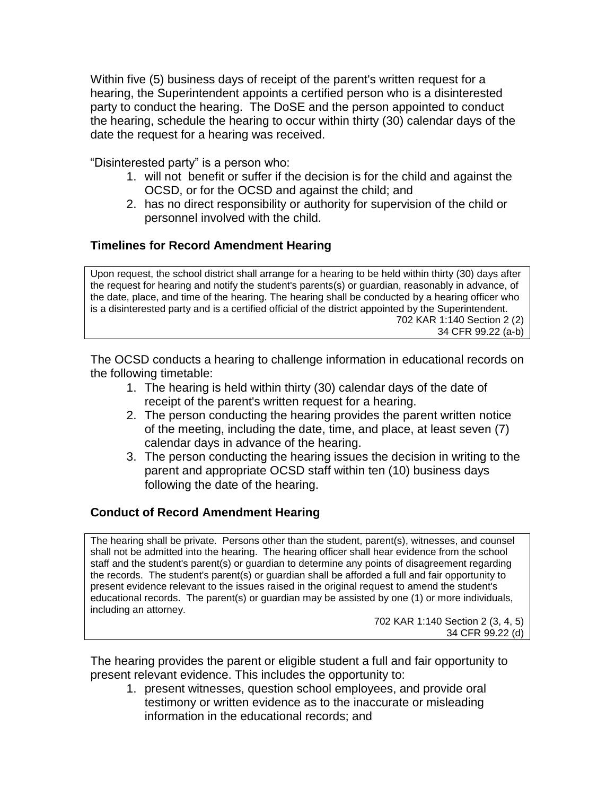Within five (5) business days of receipt of the parent's written request for a hearing, the Superintendent appoints a certified person who is a disinterested party to conduct the hearing. The DoSE and the person appointed to conduct the hearing, schedule the hearing to occur within thirty (30) calendar days of the date the request for a hearing was received.

"Disinterested party" is a person who:

- 1. will not benefit or suffer if the decision is for the child and against the OCSD, or for the OCSD and against the child; and
- 2. has no direct responsibility or authority for supervision of the child or personnel involved with the child.

## **Timelines for Record Amendment Hearing**

Upon request, the school district shall arrange for a hearing to be held within thirty (30) days after the request for hearing and notify the student's parents(s) or guardian, reasonably in advance, of the date, place, and time of the hearing. The hearing shall be conducted by a hearing officer who is a disinterested party and is a certified official of the district appointed by the Superintendent. 702 KAR 1:140 Section 2 (2)

34 CFR 99.22 (a-b)

The OCSD conducts a hearing to challenge information in educational records on the following timetable:

- 1. The hearing is held within thirty (30) calendar days of the date of receipt of the parent's written request for a hearing.
- 2. The person conducting the hearing provides the parent written notice of the meeting, including the date, time, and place, at least seven (7) calendar days in advance of the hearing.
- 3. The person conducting the hearing issues the decision in writing to the parent and appropriate OCSD staff within ten (10) business days following the date of the hearing.

## **Conduct of Record Amendment Hearing**

The hearing shall be private. Persons other than the student, parent(s), witnesses, and counsel shall not be admitted into the hearing. The hearing officer shall hear evidence from the school staff and the student's parent(s) or guardian to determine any points of disagreement regarding the records. The student's parent(s) or guardian shall be afforded a full and fair opportunity to present evidence relevant to the issues raised in the original request to amend the student's educational records. The parent(s) or guardian may be assisted by one (1) or more individuals, including an attorney.

702 KAR 1:140 Section 2 (3, 4, 5) 34 CFR 99.22 (d)

The hearing provides the parent or eligible student a full and fair opportunity to present relevant evidence. This includes the opportunity to:

1. present witnesses, question school employees, and provide oral testimony or written evidence as to the inaccurate or misleading information in the educational records; and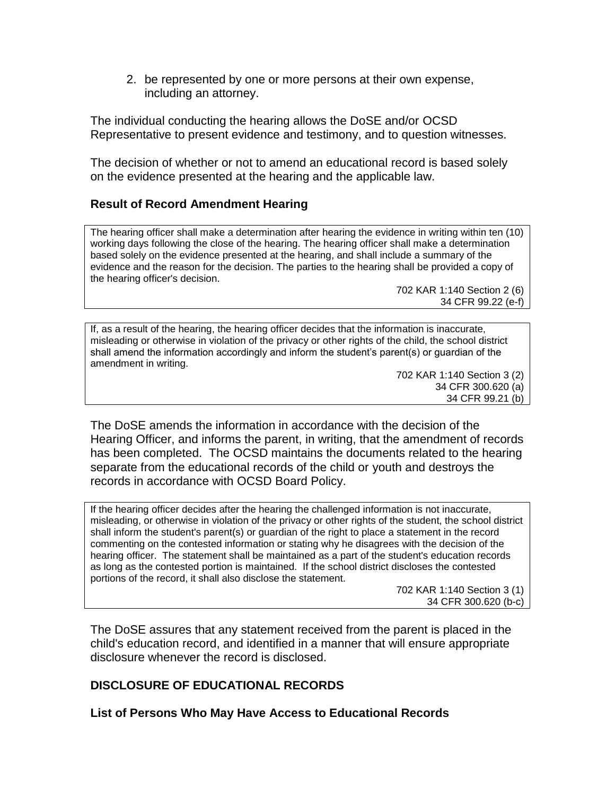2. be represented by one or more persons at their own expense, including an attorney.

The individual conducting the hearing allows the DoSE and/or OCSD Representative to present evidence and testimony, and to question witnesses.

The decision of whether or not to amend an educational record is based solely on the evidence presented at the hearing and the applicable law.

### **Result of Record Amendment Hearing**

The hearing officer shall make a determination after hearing the evidence in writing within ten (10) working days following the close of the hearing. The hearing officer shall make a determination based solely on the evidence presented at the hearing, and shall include a summary of the evidence and the reason for the decision. The parties to the hearing shall be provided a copy of the hearing officer's decision.

> 702 KAR 1:140 Section 2 (6) 34 CFR 99.22 (e-f)

If, as a result of the hearing, the hearing officer decides that the information is inaccurate, misleading or otherwise in violation of the privacy or other rights of the child, the school district shall amend the information accordingly and inform the student's parent(s) or guardian of the amendment in writing.

> 702 KAR 1:140 Section 3 (2) 34 CFR 300.620 (a) 34 CFR 99.21 (b)

The DoSE amends the information in accordance with the decision of the Hearing Officer, and informs the parent, in writing, that the amendment of records has been completed. The OCSD maintains the documents related to the hearing separate from the educational records of the child or youth and destroys the records in accordance with OCSD Board Policy.

If the hearing officer decides after the hearing the challenged information is not inaccurate, misleading, or otherwise in violation of the privacy or other rights of the student, the school district shall inform the student's parent(s) or guardian of the right to place a statement in the record commenting on the contested information or stating why he disagrees with the decision of the hearing officer. The statement shall be maintained as a part of the student's education records as long as the contested portion is maintained. If the school district discloses the contested portions of the record, it shall also disclose the statement.

702 KAR 1:140 Section 3 (1) 34 CFR 300.620 (b-c)

The DoSE assures that any statement received from the parent is placed in the child's education record, and identified in a manner that will ensure appropriate disclosure whenever the record is disclosed.

## **DISCLOSURE OF EDUCATIONAL RECORDS**

**List of Persons Who May Have Access to Educational Records**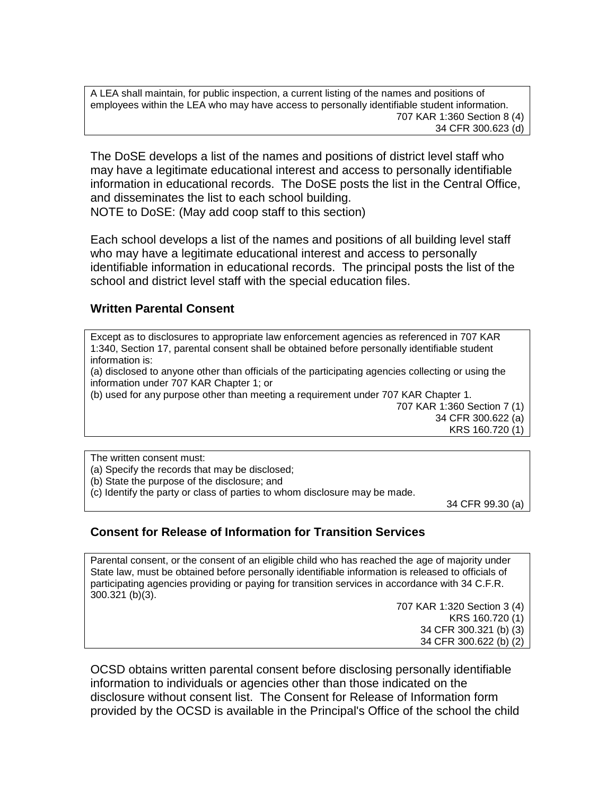A LEA shall maintain, for public inspection, a current listing of the names and positions of employees within the LEA who may have access to personally identifiable student information. 707 KAR 1:360 Section 8 (4) 34 CFR 300.623 (d)

The DoSE develops a list of the names and positions of district level staff who may have a legitimate educational interest and access to personally identifiable information in educational records. The DoSE posts the list in the Central Office, and disseminates the list to each school building.

NOTE to DoSE: (May add coop staff to this section)

Each school develops a list of the names and positions of all building level staff who may have a legitimate educational interest and access to personally identifiable information in educational records. The principal posts the list of the school and district level staff with the special education files.

#### **Written Parental Consent**

Except as to disclosures to appropriate law enforcement agencies as referenced in 707 KAR 1:340, Section 17, parental consent shall be obtained before personally identifiable student information is:

(a) disclosed to anyone other than officials of the participating agencies collecting or using the information under 707 KAR Chapter 1; or

(b) used for any purpose other than meeting a requirement under 707 KAR Chapter 1.

707 KAR 1:360 Section 7 (1) 34 CFR 300.622 (a) KRS 160.720 (1)

The written consent must:

(a) Specify the records that may be disclosed;

(b) State the purpose of the disclosure; and

(c) Identify the party or class of parties to whom disclosure may be made.

34 CFR 99.30 (a)

#### **Consent for Release of Information for Transition Services**

Parental consent, or the consent of an eligible child who has reached the age of majority under State law, must be obtained before personally identifiable information is released to officials of participating agencies providing or paying for transition services in accordance with 34 C.F.R. 300.321 (b)(3).

> 707 KAR 1:320 Section 3 (4) KRS 160.720 (1) 34 CFR 300.321 (b) (3) 34 CFR 300.622 (b) (2)

OCSD obtains written parental consent before disclosing personally identifiable information to individuals or agencies other than those indicated on the disclosure without consent list. The Consent for Release of Information form provided by the OCSD is available in the Principal's Office of the school the child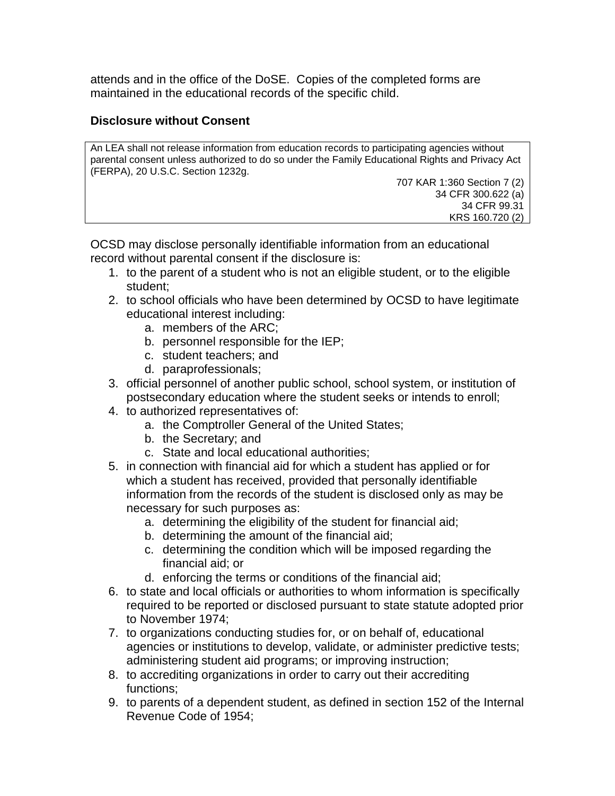attends and in the office of the DoSE. Copies of the completed forms are maintained in the educational records of the specific child.

### **Disclosure without Consent**

An LEA shall not release information from education records to participating agencies without parental consent unless authorized to do so under the Family Educational Rights and Privacy Act (FERPA), 20 U.S.C. Section 1232g.

707 KAR 1:360 Section 7 (2) 34 CFR 300.622 (a) 34 CFR 99.31 KRS 160.720 (2)

OCSD may disclose personally identifiable information from an educational record without parental consent if the disclosure is:

- 1. to the parent of a student who is not an eligible student, or to the eligible student;
- 2. to school officials who have been determined by OCSD to have legitimate educational interest including:
	- a. members of the ARC;
	- b. personnel responsible for the IEP;
	- c. student teachers; and
	- d. paraprofessionals;
- 3. official personnel of another public school, school system, or institution of postsecondary education where the student seeks or intends to enroll;
- 4. to authorized representatives of:
	- a. the Comptroller General of the United States;
	- b. the Secretary; and
	- c. State and local educational authorities;
- 5. in connection with financial aid for which a student has applied or for which a student has received, provided that personally identifiable information from the records of the student is disclosed only as may be necessary for such purposes as:
	- a. determining the eligibility of the student for financial aid;
	- b. determining the amount of the financial aid;
	- c. determining the condition which will be imposed regarding the financial aid; or
	- d. enforcing the terms or conditions of the financial aid;
- 6. to state and local officials or authorities to whom information is specifically required to be reported or disclosed pursuant to state statute adopted prior to November 1974;
- 7. to organizations conducting studies for, or on behalf of, educational agencies or institutions to develop, validate, or administer predictive tests; administering student aid programs; or improving instruction;
- 8. to accrediting organizations in order to carry out their accrediting functions;
- 9. to parents of a dependent student, as defined in section 152 of the Internal Revenue Code of 1954;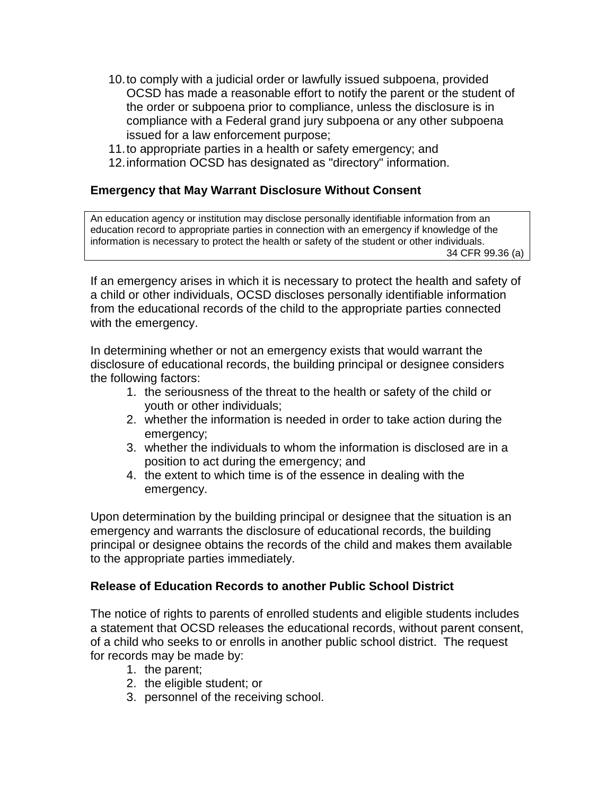- 10.to comply with a judicial order or lawfully issued subpoena, provided OCSD has made a reasonable effort to notify the parent or the student of the order or subpoena prior to compliance, unless the disclosure is in compliance with a Federal grand jury subpoena or any other subpoena issued for a law enforcement purpose;
- 11.to appropriate parties in a health or safety emergency; and
- 12.information OCSD has designated as "directory" information.

### **Emergency that May Warrant Disclosure Without Consent**

An education agency or institution may disclose personally identifiable information from an education record to appropriate parties in connection with an emergency if knowledge of the information is necessary to protect the health or safety of the student or other individuals. 34 CFR 99.36 (a)

If an emergency arises in which it is necessary to protect the health and safety of a child or other individuals, OCSD discloses personally identifiable information from the educational records of the child to the appropriate parties connected with the emergency.

In determining whether or not an emergency exists that would warrant the disclosure of educational records, the building principal or designee considers the following factors:

- 1. the seriousness of the threat to the health or safety of the child or youth or other individuals;
- 2. whether the information is needed in order to take action during the emergency:
- 3. whether the individuals to whom the information is disclosed are in a position to act during the emergency; and
- 4. the extent to which time is of the essence in dealing with the emergency.

Upon determination by the building principal or designee that the situation is an emergency and warrants the disclosure of educational records, the building principal or designee obtains the records of the child and makes them available to the appropriate parties immediately.

#### **Release of Education Records to another Public School District**

The notice of rights to parents of enrolled students and eligible students includes a statement that OCSD releases the educational records, without parent consent, of a child who seeks to or enrolls in another public school district. The request for records may be made by:

- 1. the parent;
- 2. the eligible student; or
- 3. personnel of the receiving school.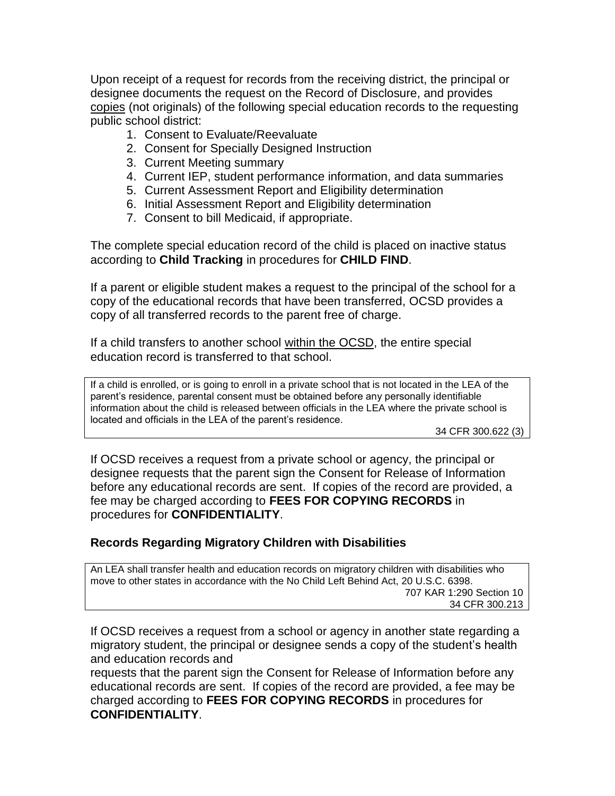Upon receipt of a request for records from the receiving district, the principal or designee documents the request on the Record of Disclosure, and provides copies (not originals) of the following special education records to the requesting public school district:

- 1. Consent to Evaluate/Reevaluate
- 2. Consent for Specially Designed Instruction
- 3. Current Meeting summary
- 4. Current IEP, student performance information, and data summaries
- 5. Current Assessment Report and Eligibility determination
- 6. Initial Assessment Report and Eligibility determination
- 7. Consent to bill Medicaid, if appropriate.

The complete special education record of the child is placed on inactive status according to **Child Tracking** in procedures for **CHILD FIND**.

If a parent or eligible student makes a request to the principal of the school for a copy of the educational records that have been transferred, OCSD provides a copy of all transferred records to the parent free of charge.

If a child transfers to another school within the OCSD, the entire special education record is transferred to that school.

If a child is enrolled, or is going to enroll in a private school that is not located in the LEA of the parent's residence, parental consent must be obtained before any personally identifiable information about the child is released between officials in the LEA where the private school is located and officials in the LEA of the parent's residence.

34 CFR 300.622 (3)

If OCSD receives a request from a private school or agency, the principal or designee requests that the parent sign the Consent for Release of Information before any educational records are sent. If copies of the record are provided, a fee may be charged according to **FEES FOR COPYING RECORDS** in procedures for **CONFIDENTIALITY**.

#### **Records Regarding Migratory Children with Disabilities**

An LEA shall transfer health and education records on migratory children with disabilities who move to other states in accordance with the No Child Left Behind Act, 20 U.S.C. 6398. 707 KAR 1:290 Section 10 34 CFR 300.213

If OCSD receives a request from a school or agency in another state regarding a migratory student, the principal or designee sends a copy of the student's health and education records and

requests that the parent sign the Consent for Release of Information before any educational records are sent. If copies of the record are provided, a fee may be charged according to **FEES FOR COPYING RECORDS** in procedures for **CONFIDENTIALITY**.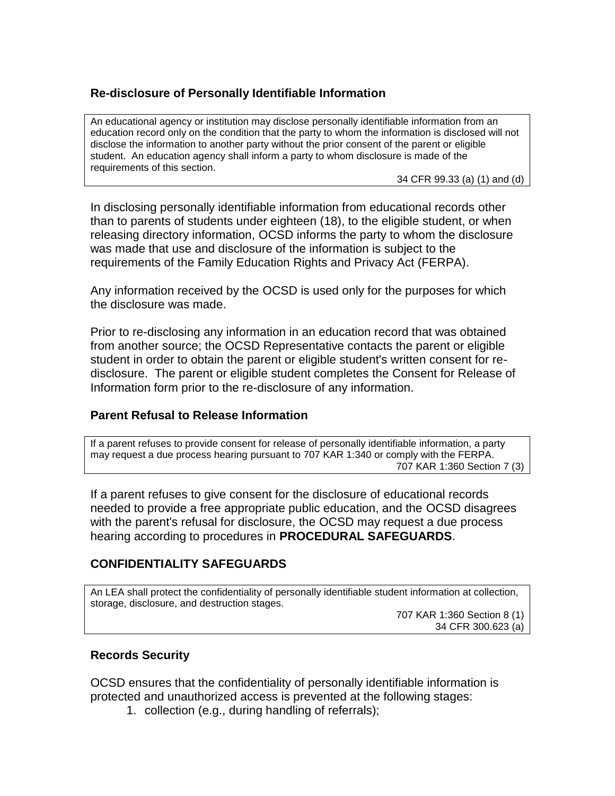## **Re-disclosure of Personally Identifiable Information**

An educational agency or institution may disclose personally identifiable information from an education record only on the condition that the party to whom the information is disclosed will not disclose the information to another party without the prior consent of the parent or eligible student. An education agency shall inform a party to whom disclosure is made of the requirements of this section.

34 CFR 99.33 (a) (1) and (d)

In disclosing personally identifiable information from educational records other than to parents of students under eighteen (18), to the eligible student, or when releasing directory information, OCSD informs the party to whom the disclosure was made that use and disclosure of the information is subject to the requirements of the Family Education Rights and Privacy Act (FERPA).

Any information received by the OCSD is used only for the purposes for which the disclosure was made.

Prior to re-disclosing any information in an education record that was obtained from another source; the OCSD Representative contacts the parent or eligible student in order to obtain the parent or eligible student's written consent for redisclosure. The parent or eligible student completes the Consent for Release of Information form prior to the re-disclosure of any information.

#### **Parent Refusal to Release Information**

If a parent refuses to provide consent for release of personally identifiable information, a party may request a due process hearing pursuant to 707 KAR 1:340 or comply with the FERPA. 707 KAR 1:360 Section 7 (3)

If a parent refuses to give consent for the disclosure of educational records needed to provide a free appropriate public education, and the OCSD disagrees with the parent's refusal for disclosure, the OCSD may request a due process hearing according to procedures in **PROCEDURAL SAFEGUARDS**.

#### **CONFIDENTIALITY SAFEGUARDS**

An LEA shall protect the confidentiality of personally identifiable student information at collection, storage, disclosure, and destruction stages.

707 KAR 1:360 Section 8 (1) 34 CFR 300.623 (a)

#### **Records Security**

OCSD ensures that the confidentiality of personally identifiable information is protected and unauthorized access is prevented at the following stages:

1. collection (e.g., during handling of referrals);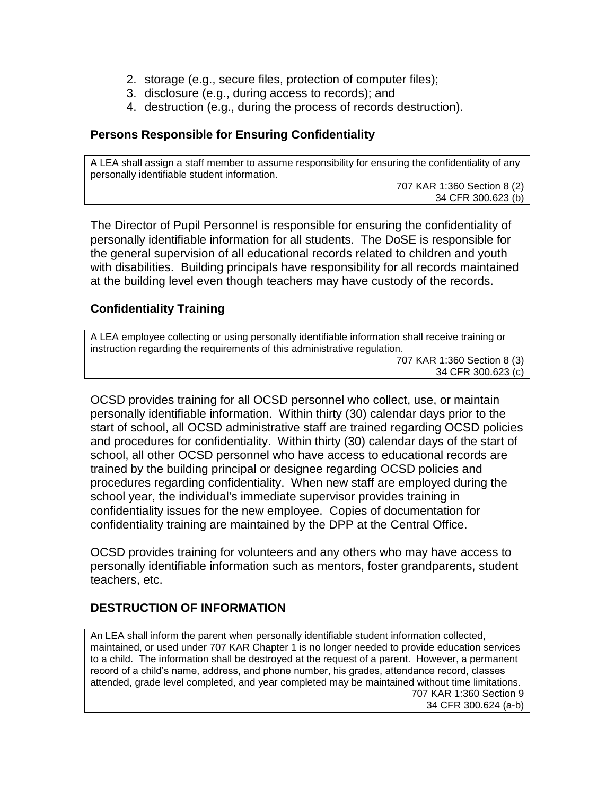- 2. storage (e.g., secure files, protection of computer files);
- 3. disclosure (e.g., during access to records); and
- 4. destruction (e.g., during the process of records destruction).

#### **Persons Responsible for Ensuring Confidentiality**

A LEA shall assign a staff member to assume responsibility for ensuring the confidentiality of any personally identifiable student information.

707 KAR 1:360 Section 8 (2) 34 CFR 300.623 (b)

The Director of Pupil Personnel is responsible for ensuring the confidentiality of personally identifiable information for all students. The DoSE is responsible for the general supervision of all educational records related to children and youth with disabilities. Building principals have responsibility for all records maintained at the building level even though teachers may have custody of the records.

### **Confidentiality Training**

A LEA employee collecting or using personally identifiable information shall receive training or instruction regarding the requirements of this administrative regulation. 707 KAR 1:360 Section 8 (3) 34 CFR 300.623 (c)

OCSD provides training for all OCSD personnel who collect, use, or maintain personally identifiable information. Within thirty (30) calendar days prior to the start of school, all OCSD administrative staff are trained regarding OCSD policies and procedures for confidentiality. Within thirty (30) calendar days of the start of school, all other OCSD personnel who have access to educational records are trained by the building principal or designee regarding OCSD policies and procedures regarding confidentiality. When new staff are employed during the school year, the individual's immediate supervisor provides training in confidentiality issues for the new employee. Copies of documentation for confidentiality training are maintained by the DPP at the Central Office.

OCSD provides training for volunteers and any others who may have access to personally identifiable information such as mentors, foster grandparents, student teachers, etc.

#### **DESTRUCTION OF INFORMATION**

An LEA shall inform the parent when personally identifiable student information collected, maintained, or used under 707 KAR Chapter 1 is no longer needed to provide education services to a child. The information shall be destroyed at the request of a parent. However, a permanent record of a child's name, address, and phone number, his grades, attendance record, classes attended, grade level completed, and year completed may be maintained without time limitations. 707 KAR 1:360 Section 9 34 CFR 300.624 (a-b)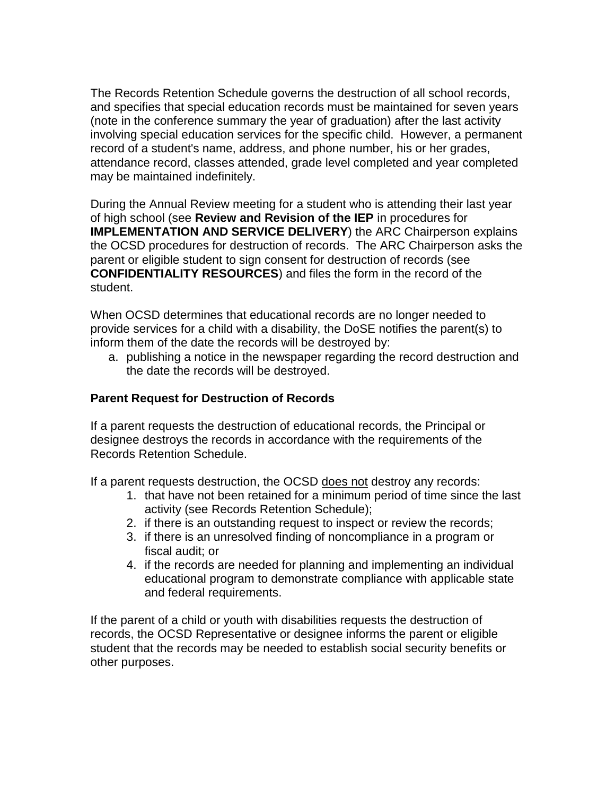The Records Retention Schedule governs the destruction of all school records, and specifies that special education records must be maintained for seven years (note in the conference summary the year of graduation) after the last activity involving special education services for the specific child. However, a permanent record of a student's name, address, and phone number, his or her grades, attendance record, classes attended, grade level completed and year completed may be maintained indefinitely.

During the Annual Review meeting for a student who is attending their last year of high school (see **Review and Revision of the IEP** in procedures for **IMPLEMENTATION AND SERVICE DELIVERY**) the ARC Chairperson explains the OCSD procedures for destruction of records. The ARC Chairperson asks the parent or eligible student to sign consent for destruction of records (see **CONFIDENTIALITY RESOURCES**) and files the form in the record of the student.

When OCSD determines that educational records are no longer needed to provide services for a child with a disability, the DoSE notifies the parent(s) to inform them of the date the records will be destroyed by:

a. publishing a notice in the newspaper regarding the record destruction and the date the records will be destroyed.

## **Parent Request for Destruction of Records**

If a parent requests the destruction of educational records, the Principal or designee destroys the records in accordance with the requirements of the Records Retention Schedule.

If a parent requests destruction, the OCSD does not destroy any records:

- 1. that have not been retained for a minimum period of time since the last activity (see Records Retention Schedule);
- 2. if there is an outstanding request to inspect or review the records;
- 3. if there is an unresolved finding of noncompliance in a program or fiscal audit; or
- 4. if the records are needed for planning and implementing an individual educational program to demonstrate compliance with applicable state and federal requirements.

If the parent of a child or youth with disabilities requests the destruction of records, the OCSD Representative or designee informs the parent or eligible student that the records may be needed to establish social security benefits or other purposes.